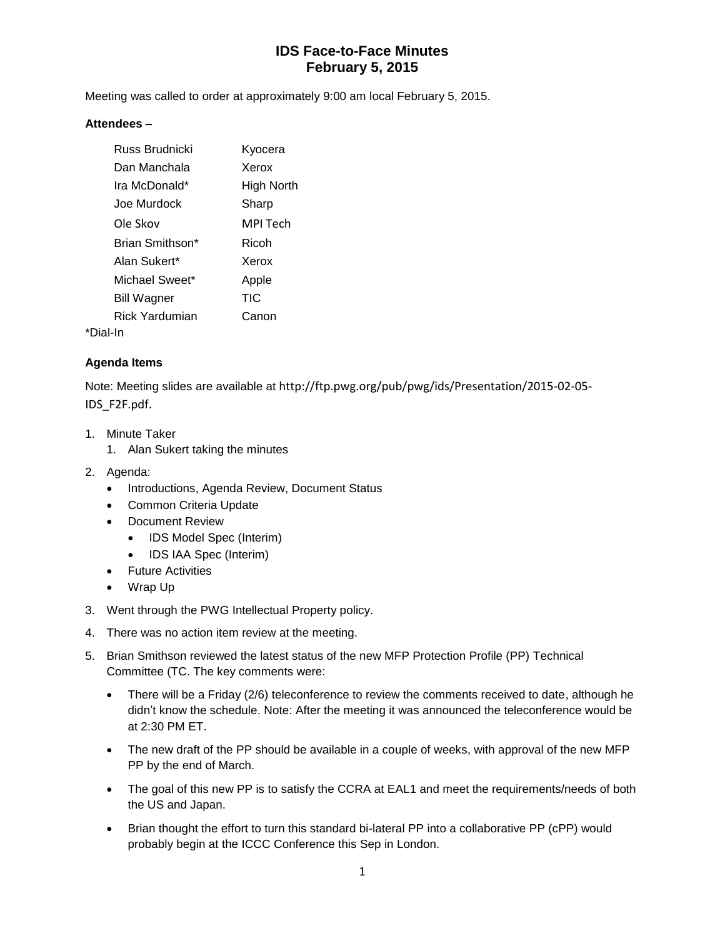# **IDS Face-to-Face Minutes February 5, 2015**

Meeting was called to order at approximately 9:00 am local February 5, 2015.

#### **Attendees –**

|          | Russ Brudnicki     | Kyocera    |
|----------|--------------------|------------|
|          | Dan Manchala       | Xerox      |
|          | Ira McDonald*      | High North |
|          | Joe Murdock        | Sharp      |
|          | Ole Skov           | MPI Tech   |
|          | Brian Smithson*    | Ricoh      |
|          | Alan Sukert*       | Xerox      |
|          | Michael Sweet*     | Apple      |
|          | <b>Bill Wagner</b> | TIC        |
|          | Rick Yardumian     | Canon      |
| *Dial-In |                    |            |

### **Agenda Items**

Note: Meeting slides are available at http://ftp.pwg.org/pub/pwg/ids/Presentation/2015-02-05- IDS\_F2F.pdf.

- 1. Minute Taker
	- 1. Alan Sukert taking the minutes
- 2. Agenda:
	- Introductions, Agenda Review, Document Status
	- Common Criteria Update
	- Document Review
		- IDS Model Spec (Interim)
		- IDS IAA Spec (Interim)
	- **•** Future Activities
	- Wrap Up
- 3. Went through the PWG Intellectual Property policy.
- 4. There was no action item review at the meeting.
- 5. Brian Smithson reviewed the latest status of the new MFP Protection Profile (PP) Technical Committee (TC. The key comments were:
	- There will be a Friday (2/6) teleconference to review the comments received to date, although he didn't know the schedule. Note: After the meeting it was announced the teleconference would be at 2:30 PM ET.
	- The new draft of the PP should be available in a couple of weeks, with approval of the new MFP PP by the end of March.
	- The goal of this new PP is to satisfy the CCRA at EAL1 and meet the requirements/needs of both the US and Japan.
	- Brian thought the effort to turn this standard bi-lateral PP into a collaborative PP (cPP) would probably begin at the ICCC Conference this Sep in London.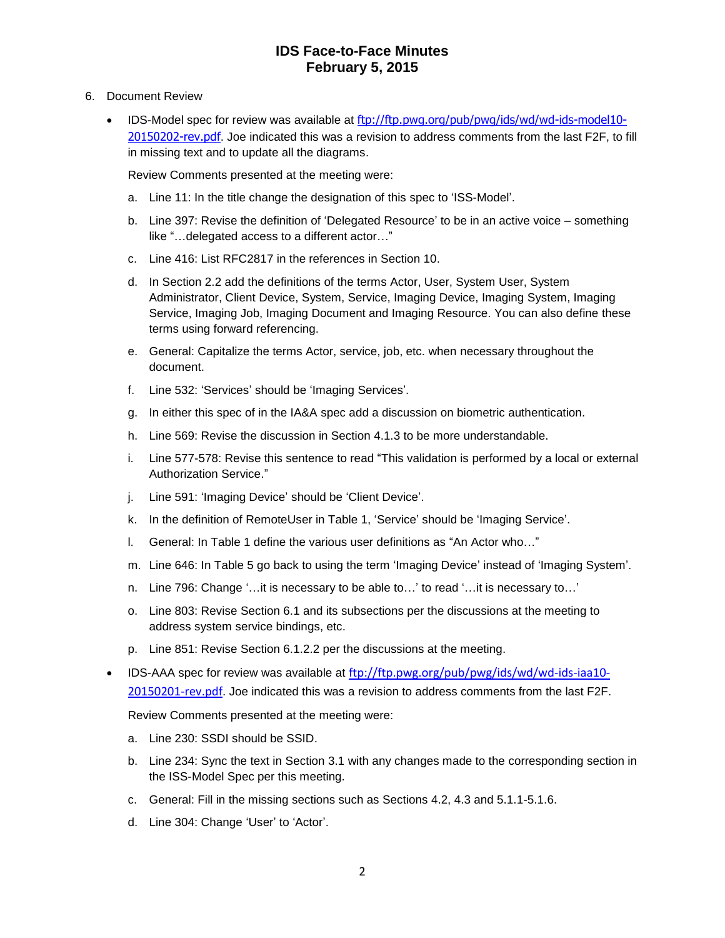## **IDS Face-to-Face Minutes February 5, 2015**

- 6. Document Review
	- **IDS-Model spec for review was available at**  $f(p://ftp.pwg.org/pub/pwg/ids/wd/wd-ids-model10-$ [20150202-rev.pdf](ftp://ftp.pwg.org/pub/pwg/ids/wd/wd-ids-model10-20150202-rev.pdf). Joe indicated this was a revision to address comments from the last F2F, to fill in missing text and to update all the diagrams.

Review Comments presented at the meeting were:

- a. Line 11: In the title change the designation of this spec to 'ISS-Model'.
- b. Line 397: Revise the definition of 'Delegated Resource' to be in an active voice something like "…delegated access to a different actor…"
- c. Line 416: List RFC2817 in the references in Section 10.
- d. In Section 2.2 add the definitions of the terms Actor, User, System User, System Administrator, Client Device, System, Service, Imaging Device, Imaging System, Imaging Service, Imaging Job, Imaging Document and Imaging Resource. You can also define these terms using forward referencing.
- e. General: Capitalize the terms Actor, service, job, etc. when necessary throughout the document.
- f. Line 532: 'Services' should be 'Imaging Services'.
- g. In either this spec of in the IA&A spec add a discussion on biometric authentication.
- h. Line 569: Revise the discussion in Section 4.1.3 to be more understandable.
- i. Line 577-578: Revise this sentence to read "This validation is performed by a local or external Authorization Service."
- j. Line 591: 'Imaging Device' should be 'Client Device'.
- k. In the definition of RemoteUser in Table 1, 'Service' should be 'Imaging Service'.
- l. General: In Table 1 define the various user definitions as "An Actor who…"
- m. Line 646: In Table 5 go back to using the term 'Imaging Device' instead of 'Imaging System'.
- n. Line 796: Change '…it is necessary to be able to…' to read '…it is necessary to…'
- o. Line 803: Revise Section 6.1 and its subsections per the discussions at the meeting to address system service bindings, etc.
- p. Line 851: Revise Section 6.1.2.2 per the discussions at the meeting.
- IDS-AAA spec for review was available at [ftp://ftp.pwg.org/pub/pwg/ids/wd/wd-ids-iaa10-](ftp://ftp.pwg.org/pub/pwg/ids/wd/wd-ids-iaa10-20150201-rev.pdf) [20150201-rev.pdf](ftp://ftp.pwg.org/pub/pwg/ids/wd/wd-ids-iaa10-20150201-rev.pdf). Joe indicated this was a revision to address comments from the last F2F.

Review Comments presented at the meeting were:

- a. Line 230: SSDI should be SSID.
- b. Line 234: Sync the text in Section 3.1 with any changes made to the corresponding section in the ISS-Model Spec per this meeting.
- c. General: Fill in the missing sections such as Sections 4.2, 4.3 and 5.1.1-5.1.6.
- d. Line 304: Change 'User' to 'Actor'.